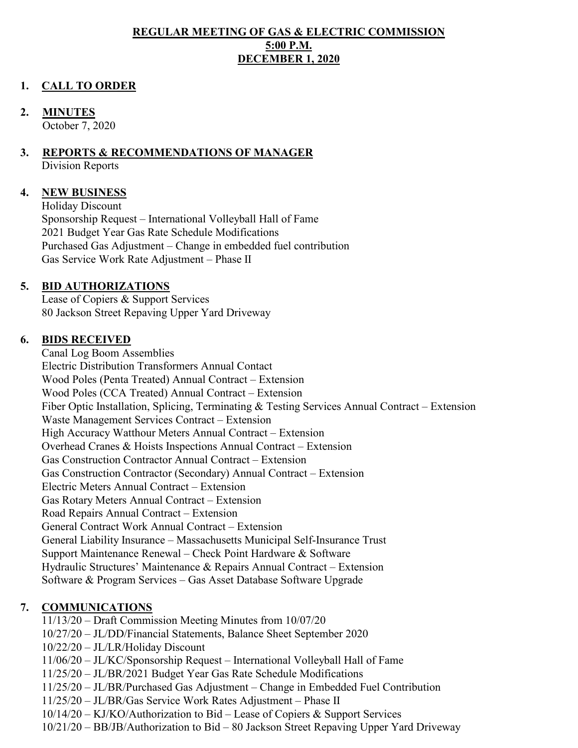#### **REGULAR MEETING OF GAS & ELECTRIC COMMISSION 5:00 P.M. DECEMBER 1, 2020**

#### **1. CALL TO ORDER**

#### **2. MINUTES**

October 7, 2020

#### **3. REPORTS & RECOMMENDATIONS OF MANAGER**

Division Reports

#### **4. NEW BUSINESS**

Holiday Discount Sponsorship Request – International Volleyball Hall of Fame 2021 Budget Year Gas Rate Schedule Modifications Purchased Gas Adjustment – Change in embedded fuel contribution Gas Service Work Rate Adjustment – Phase II

#### **5. BID AUTHORIZATIONS**

Lease of Copiers & Support Services 80 Jackson Street Repaving Upper Yard Driveway

#### **6. BIDS RECEIVED**

Canal Log Boom Assemblies Electric Distribution Transformers Annual Contact Wood Poles (Penta Treated) Annual Contract – Extension Wood Poles (CCA Treated) Annual Contract – Extension Fiber Optic Installation, Splicing, Terminating & Testing Services Annual Contract – Extension Waste Management Services Contract – Extension High Accuracy Watthour Meters Annual Contract – Extension Overhead Cranes & Hoists Inspections Annual Contract – Extension Gas Construction Contractor Annual Contract – Extension Gas Construction Contractor (Secondary) Annual Contract – Extension Electric Meters Annual Contract – Extension Gas Rotary Meters Annual Contract – Extension Road Repairs Annual Contract – Extension General Contract Work Annual Contract – Extension General Liability Insurance – Massachusetts Municipal Self-Insurance Trust Support Maintenance Renewal – Check Point Hardware & Software Hydraulic Structures' Maintenance & Repairs Annual Contract – Extension Software & Program Services – Gas Asset Database Software Upgrade

### **7. COMMUNICATIONS**

11/13/20 – Draft Commission Meeting Minutes from 10/07/20

- 10/27/20 JL/DD/Financial Statements, Balance Sheet September 2020
- 10/22/20 JL/LR/Holiday Discount
- 11/06/20 JL/KC/Sponsorship Request International Volleyball Hall of Fame
- 11/25/20 JL/BR/2021 Budget Year Gas Rate Schedule Modifications
- 11/25/20 JL/BR/Purchased Gas Adjustment Change in Embedded Fuel Contribution
- 11/25/20 JL/BR/Gas Service Work Rates Adjustment Phase II
- 10/14/20 KJ/KO/Authorization to Bid Lease of Copiers & Support Services
- 10/21/20 BB/JB/Authorization to Bid 80 Jackson Street Repaving Upper Yard Driveway